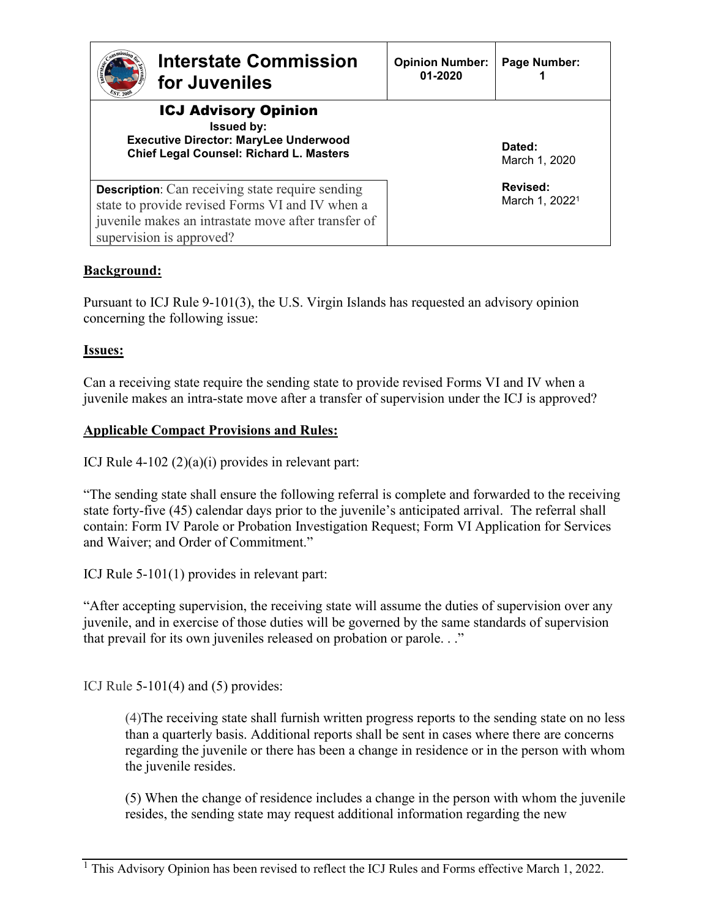| <b>Interstate Commission</b><br>for Juveniles                                                                                                                                                 | <b>Opinion Number:</b><br>01-2020 | Page Number:                           |
|-----------------------------------------------------------------------------------------------------------------------------------------------------------------------------------------------|-----------------------------------|----------------------------------------|
| <b>ICJ Advisory Opinion</b><br><b>Issued by:</b><br><b>Executive Director: MaryLee Underwood</b><br>Chief Legal Counsel: Richard L. Masters                                                   |                                   | Dated:<br>March 1, 2020                |
| <b>Description:</b> Can receiving state require sending<br>state to provide revised Forms VI and IV when a<br>juvenile makes an intrastate move after transfer of<br>supervision is approved? |                                   | Revised:<br>March 1, 2022 <sup>1</sup> |

# **Background:**

Pursuant to ICJ Rule 9-101(3), the U.S. Virgin Islands has requested an advisory opinion concerning the following issue:

# **Issues:**

Can a receiving state require the sending state to provide revised Forms VI and IV when a juvenile makes an intra-state move after a transfer of supervision under the ICJ is approved?

## **Applicable Compact Provisions and Rules:**

ICJ Rule  $4-102(2)(a)(i)$  provides in relevant part:

"The sending state shall ensure the following referral is complete and forwarded to the receiving state forty-five (45) calendar days prior to the juvenile's anticipated arrival. The referral shall contain: Form IV Parole or Probation Investigation Request; Form VI Application for Services and Waiver; and Order of Commitment."

ICJ Rule 5-101(1) provides in relevant part:

"After accepting supervision, the receiving state will assume the duties of supervision over any juvenile, and in exercise of those duties will be governed by the same standards of supervision that prevail for its own juveniles released on probation or parole. . ."

ICJ Rule 5-101(4) and (5) provides:

(4)The receiving state shall furnish written progress reports to the sending state on no less than a quarterly basis. Additional reports shall be sent in cases where there are concerns regarding the juvenile or there has been a change in residence or in the person with whom the juvenile resides.

(5) When the change of residence includes a change in the person with whom the juvenile resides, the sending state may request additional information regarding the new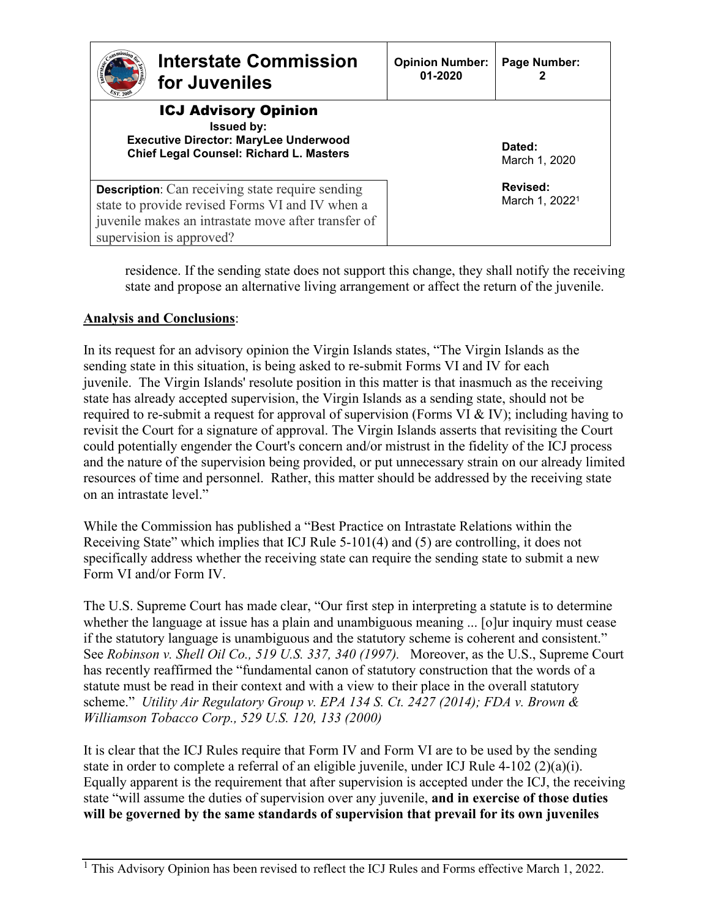| <b>Interstate Commission</b><br>for Juveniles                                                                                                                                                 | <b>Opinion Number:</b><br>01-2020 | Page Number:                           |
|-----------------------------------------------------------------------------------------------------------------------------------------------------------------------------------------------|-----------------------------------|----------------------------------------|
| <b>ICJ Advisory Opinion</b><br><b>Issued by:</b><br><b>Executive Director: MaryLee Underwood</b><br><b>Chief Legal Counsel: Richard L. Masters</b>                                            |                                   | Dated:<br>March 1, 2020                |
| <b>Description:</b> Can receiving state require sending<br>state to provide revised Forms VI and IV when a<br>juvenile makes an intrastate move after transfer of<br>supervision is approved? |                                   | Revised:<br>March 1, 2022 <sup>1</sup> |

residence. If the sending state does not support this change, they shall notify the receiving state and propose an alternative living arrangement or affect the return of the juvenile.

## **Analysis and Conclusions**:

In its request for an advisory opinion the Virgin Islands states, "The Virgin Islands as the sending state in this situation, is being asked to re-submit Forms VI and IV for each juvenile. The Virgin Islands' resolute position in this matter is that inasmuch as the receiving state has already accepted supervision, the Virgin Islands as a sending state, should not be required to re-submit a request for approval of supervision (Forms VI & IV); including having to revisit the Court for a signature of approval. The Virgin Islands asserts that revisiting the Court could potentially engender the Court's concern and/or mistrust in the fidelity of the ICJ process and the nature of the supervision being provided, or put unnecessary strain on our already limited resources of time and personnel. Rather, this matter should be addressed by the receiving state on an intrastate level."

While the Commission has published a "Best Practice on Intrastate Relations within the Receiving State" which implies that ICJ Rule 5-101(4) and (5) are controlling, it does not specifically address whether the receiving state can require the sending state to submit a new Form VI and/or Form IV.

The U.S. Supreme Court has made clear, "Our first step in interpreting a statute is to determine whether the language at issue has a plain and unambiguous meaning ... [o]ur inquiry must cease if the statutory language is unambiguous and the statutory scheme is coherent and consistent." See *Robinson v. Shell Oil Co., 519 U.S. 337, 340 (1997).* Moreover, as the U.S., Supreme Court has recently reaffirmed the "fundamental canon of statutory construction that the words of a statute must be read in their context and with a view to their place in the overall statutory scheme." *Utility Air Regulatory Group v. EPA 134 S. Ct. 2427 (2014); [FDA v. Brown](https://1.next.westlaw.com/Link/Document/FullText?findType=Y&serNum=2000079182&pubNum=708&originatingDoc=Icbae0cb4fac111e3b4bafa136b480ad2&refType=RP&originationContext=document&transitionType=DocumentItem&contextData=(sc.Search)) & [Williamson Tobacco Corp.,](https://1.next.westlaw.com/Link/Document/FullText?findType=Y&serNum=2000079182&pubNum=708&originatingDoc=Icbae0cb4fac111e3b4bafa136b480ad2&refType=RP&originationContext=document&transitionType=DocumentItem&contextData=(sc.Search)) 529 U.S. 120, 133 (2000)*

It is clear that the ICJ Rules require that Form IV and Form VI are to be used by the sending state in order to complete a referral of an eligible juvenile, under ICJ Rule 4-102 (2)(a)(i). Equally apparent is the requirement that after supervision is accepted under the ICJ, the receiving state "will assume the duties of supervision over any juvenile, **and in exercise of those duties will be governed by the same standards of supervision that prevail for its own juveniles** 

 $\frac{1}{1}$  This Advisory Opinion has been revised to reflect the ICJ Rules and Forms effective March 1, 2022.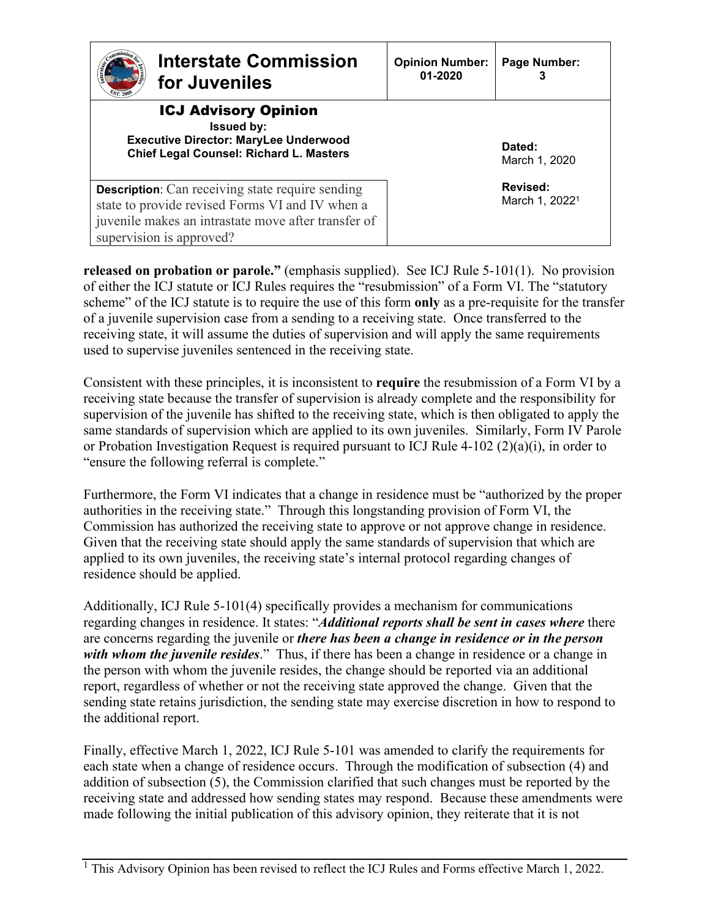| <b>Interstate Commission</b><br>for Juveniles                                                                                                                                                 | <b>Opinion Number:</b><br>01-2020 | Page Number:                           |
|-----------------------------------------------------------------------------------------------------------------------------------------------------------------------------------------------|-----------------------------------|----------------------------------------|
| <b>ICJ Advisory Opinion</b><br><b>Issued by:</b><br><b>Executive Director: MaryLee Underwood</b><br><b>Chief Legal Counsel: Richard L. Masters</b>                                            |                                   | Dated:<br>March 1, 2020                |
| <b>Description:</b> Can receiving state require sending<br>state to provide revised Forms VI and IV when a<br>juvenile makes an intrastate move after transfer of<br>supervision is approved? |                                   | Revised:<br>March 1, 2022 <sup>1</sup> |

**released on probation or parole."** (emphasis supplied). See ICJ Rule 5-101(1). No provision of either the ICJ statute or ICJ Rules requires the "resubmission" of a Form VI. The "statutory scheme" of the ICJ statute is to require the use of this form **only** as a pre-requisite for the transfer of a juvenile supervision case from a sending to a receiving state. Once transferred to the receiving state, it will assume the duties of supervision and will apply the same requirements used to supervise juveniles sentenced in the receiving state.

Consistent with these principles, it is inconsistent to **require** the resubmission of a Form VI by a receiving state because the transfer of supervision is already complete and the responsibility for supervision of the juvenile has shifted to the receiving state, which is then obligated to apply the same standards of supervision which are applied to its own juveniles. Similarly, Form IV Parole or Probation Investigation Request is required pursuant to ICJ Rule 4-102 (2)(a)(i), in order to "ensure the following referral is complete."

Furthermore, the Form VI indicates that a change in residence must be "authorized by the proper authorities in the receiving state." Through this longstanding provision of Form VI, the Commission has authorized the receiving state to approve or not approve change in residence. Given that the receiving state should apply the same standards of supervision that which are applied to its own juveniles, the receiving state's internal protocol regarding changes of residence should be applied.

Additionally, ICJ Rule 5-101(4) specifically provides a mechanism for communications regarding changes in residence. It states: "*Additional reports shall be sent in cases where* there are concerns regarding the juvenile or *there has been a change in residence or in the person with whom the juvenile resides*." Thus, if there has been a change in residence or a change in the person with whom the juvenile resides, the change should be reported via an additional report, regardless of whether or not the receiving state approved the change. Given that the sending state retains jurisdiction, the sending state may exercise discretion in how to respond to the additional report.

Finally, effective March 1, 2022, ICJ Rule 5-101 was amended to clarify the requirements for each state when a change of residence occurs. Through the modification of subsection (4) and addition of subsection (5), the Commission clarified that such changes must be reported by the receiving state and addressed how sending states may respond. Because these amendments were made following the initial publication of this advisory opinion, they reiterate that it is not

 $\frac{1}{1}$  This Advisory Opinion has been revised to reflect the ICJ Rules and Forms effective March 1, 2022.